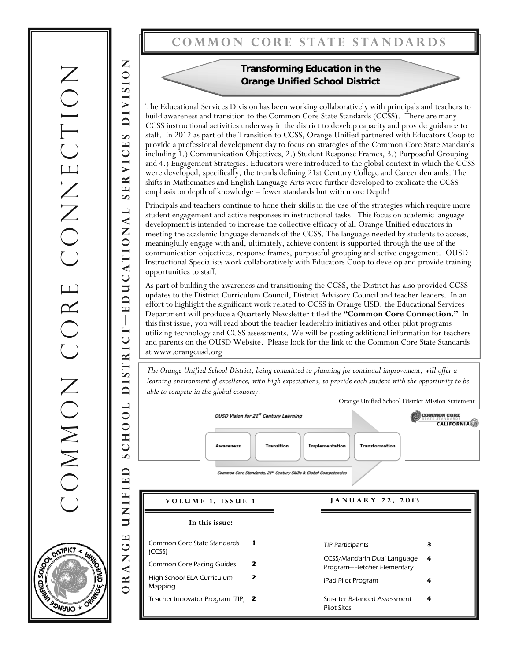## **Common core state standards**

## **Transforming Education in the Orange Unified School District**

The Educational Services Division has been working collaboratively with principals and teachers to build awareness and transition to the Common Core State Standards (CCSS). There are many CCSS instructional activities underway in the district to develop capacity and provide guidance to staff. In 2012 as part of the Transition to CCSS, Orange Unified partnered with Educators Coop to provide a professional development day to focus on strategies of the Common Core State Standards including 1.) Communication Objectives, 2.) Student Response Frames, 3.) Purposeful Grouping and 4.) Engagement Strategies. Educators were introduced to the global context in which the CCSS were developed, specifically, the trends defining 21st Century College and Career demands. The shifts in Mathematics and English Language Arts were further developed to explicate the CCSS emphasis on depth of knowledge – fewer standards but with more Depth!

Principals and teachers continue to hone their skills in the use of the strategies which require more student engagement and active responses in instructional tasks. This focus on academic language development is intended to increase the collective efficacy of all Orange Unified educators in meeting the academic language demands of the CCSS. The language needed by students to access, meaningfully engage with and, ultimately, achieve content is supported through the use of the communication objectives, response frames, purposeful grouping and active engagement. OUSD Instructional Specialists work collaboratively with Educators Coop to develop and provide training opportunities to staff.

As part of building the awareness and transitioning the CCSS, the District has also provided CCSS updates to the District Curriculum Council, District Advisory Council and teacher leaders. In an effort to highlight the significant work related to CCSS in Orange USD, the Educational Services Department will produce a Quarterly Newsletter titled the **"Common Core Connection."** In this first issue, you will read about the teacher leadership initiatives and other pilot programs utilizing technology and CCSS assessments. We will be posting additional information for teachers and parents on the OUSD Website. Please look for the link to the Common Core State Standards at www.orangeusd.org

*The Orange Unified School District, being committed to planning for continual improvement, will offer a learning environment of excellence, with high expectations, to provide each student with the opportunity to be able to compete in the global economy.* 

Orange Unified School District Mission Statement

**4** 



Smarter Balanced Assessment

Pilot Sites

Teacher Innovator Program (TIP) **2** 

Common core CONNECTION CONNECTION COMMON CORE

**Orange unified school district—e ducational services division** 

DISTRICT

 $00L$ 

 $\mathbf{\Xi}$  $\cup$ 

 $\mathbf{v}$  $\Box$ 

UNIFIE

GE

Z  $\triangleleft$ 

 $\overline{\mathbf{z}}$ 

 $\overline{1}$ 

EDUCATIONAL

**NOISIAIO** 

SERVICES

DISTRICT \* SCHOOL S ಕ **ASSISTER** OPS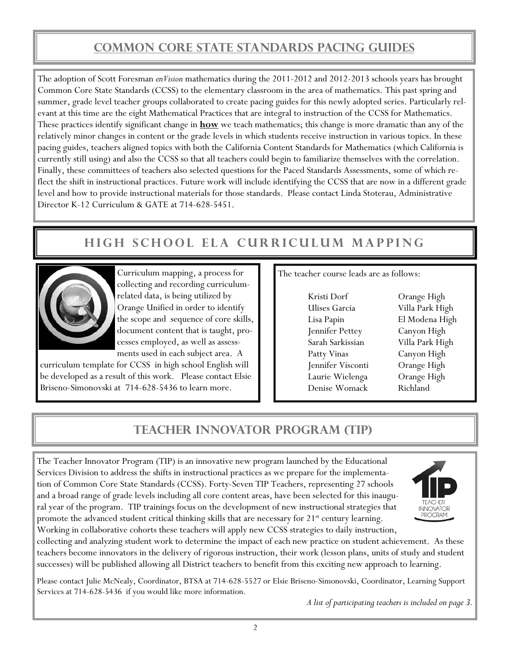# **Common Core State Standards Pacing Guides**

The adoption of Scott Foresman *enVision* mathematics during the 2011-2012 and 2012-2013 schools years has brought Common Core State Standards (CCSS) to the elementary classroom in the area of mathematics. This past spring and summer, grade level teacher groups collaborated to create pacing guides for this newly adopted series. Particularly relevant at this time are the eight Mathematical Practices that are integral to instruction of the CCSS for Mathematics. These practices identify significant change in **how** we teach mathematics; this change is more dramatic than any of the relatively minor changes in content or the grade levels in which students receive instruction in various topics. In these pacing guides, teachers aligned topics with both the California Content Standards for Mathematics (which California is currently still using) and also the CCSS so that all teachers could begin to familiarize themselves with the correlation. Finally, these committees of teachers also selected questions for the Paced Standards Assessments, some of which reflect the shift in instructional practices. Future work will include identifying the CCSS that are now in a different grade level and how to provide instructional materials for those standards. Please contact Linda Stoterau, Administrative Director K-12 Curriculum & GATE at 714-628-5451.

# **High School ELA Curriculum Mapping**



Curriculum mapping, a process for collecting and recording curriculumrelated data, is being utilized by Orange Unified in order to identify the scope and sequence of core skills, document content that is taught, processes employed, as well as assessments used in each subject area. A

curriculum template for CCSS in high school English will be developed as a result of this work. Please contact Elsie Briseno-Simonovski at 714-628-5436 to learn more.

The teacher course leads are as follows:

Kristi Dorf Orange High Ulises Garcia Villa Park High Lisa Papin El Modena High Jennifer Pettey Canyon High Sarah Sarkissian Villa Park High Patty Vinas Canyon High Jennifer Visconti Orange High Laurie Wielenga Orange High Denise Womack Richland

## **TEACHER INNOVATOR PROGRAM (TIP)**

The Teacher Innovator Program (TIP) is an innovative new program launched by the Educational Services Division to address the shifts in instructional practices as we prepare for the implementation of Common Core State Standards (CCSS). Forty-Seven TIP Teachers, representing 27 schools and a broad range of grade levels including all core content areas, have been selected for this inaugural year of the program. TIP trainings focus on the development of new instructional strategies that promote the advanced student critical thinking skills that are necessary for 21<sup>st</sup> century learning. Working in collaborative cohorts these teachers will apply new CCSS strategies to daily instruction,



collecting and analyzing student work to determine the impact of each new practice on student achievement. As these teachers become innovators in the delivery of rigorous instruction, their work (lesson plans, units of study and student successes) will be published allowing all District teachers to benefit from this exciting new approach to learning.

Please contact Julie McNealy, Coordinator, BTSA at 714-628-5527 or Elsie Briseno-Simonovski, Coordinator, Learning Support Services at 714-628-5436 if you would like more information.

*A list of participating teachers is included on page 3.*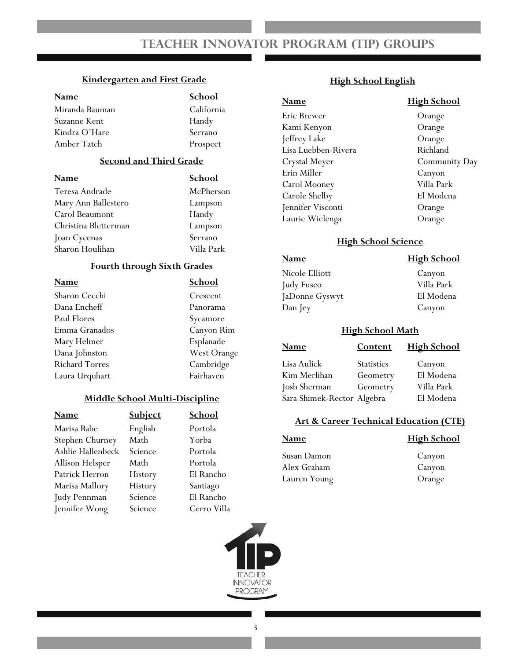## **Teacher Innovator Program (TIP) Groups**

#### **Kindergarten and First Grade**

| <b>Name</b>    | School     |
|----------------|------------|
| Miranda Bauman | California |
| Suzanne Kent   | Handy      |
| Kindra O'Hare  | Serrano    |
| Amber Tatch    | Prospect   |

### **Second and Third Grade**

| <b>Name</b>          | School     |
|----------------------|------------|
| Teresa Andrade       | McPherson  |
| Mary Ann Ballestero  | Lampson    |
| Carol Beaumont       | Handy      |
| Christina Bletterman | Lampson    |
| Joan Cycenas         | Serrano    |
| Sharon Houlihan      | Villa Park |
|                      |            |

### **Fourth through Sixth Grades**

| Name                  | School      |
|-----------------------|-------------|
| Sharon Cecchi         | Crescent    |
| Dana Encheff          | Panorama    |
| Paul Flores           | Sycamore    |
| Emma Granados         | Canyon Rim  |
| Mary Helmer           | Esplanade   |
| Dana Johnston         | West Orange |
| <b>Richard Torres</b> | Cambridge   |
| Laura Urquhart        | Fairhaven   |

### **Middle School Multi-Discipline**

| Name              | <b>Subject</b> | School      |
|-------------------|----------------|-------------|
| Marisa Babe       | English        | Portola     |
| Stephen Churney   | Math           | Yorba       |
| Ashlie Hallenbeck | Science        | Portola     |
| Allison Helsper   | Math           | Portola     |
| Patrick Herron    | History        | El Rancho   |
| Marisa Mallory    | History        | Santiago    |
| Judy Pennman      | Science        | El Rancho   |
| Jennifer Wong     | Science        | Cerro Villa |

### **High School English**

### **Name High School**  Eric Brewer Orange Kami Kenyon Orange Jeffrey Lake Orange Lisa Luebben-Rivera **Richland** Crystal Meyer Community Day Erin Miller Canyon Carol Mooney Villa Park Carole Shelby El Modena Jennifer Visconti Orange Laurie Wielenga Orange

### **High School Science**

### **Name High School**  Nicole Elliott Canyon Judy Fusco Villa Park JaDonne Gyswyt El Modena Dan Jey Canyon

#### **High School Math**

| <b>Name</b>                | <b>Content</b>    | <b>High School</b> |
|----------------------------|-------------------|--------------------|
| Lisa Aulick                | <b>Statistics</b> | Canyon             |
| Kim Merlihan               | Geometry          | El Modena          |
| Josh Sherman               | Geometry          | Villa Park         |
| Sara Shimek-Rector Algebra |                   | El Modena          |

### **Art & Career Technical Education (CTE)**

## **Name High School**  Susan Damon Canyon Alex Graham Canyon

Lauren Young Orange